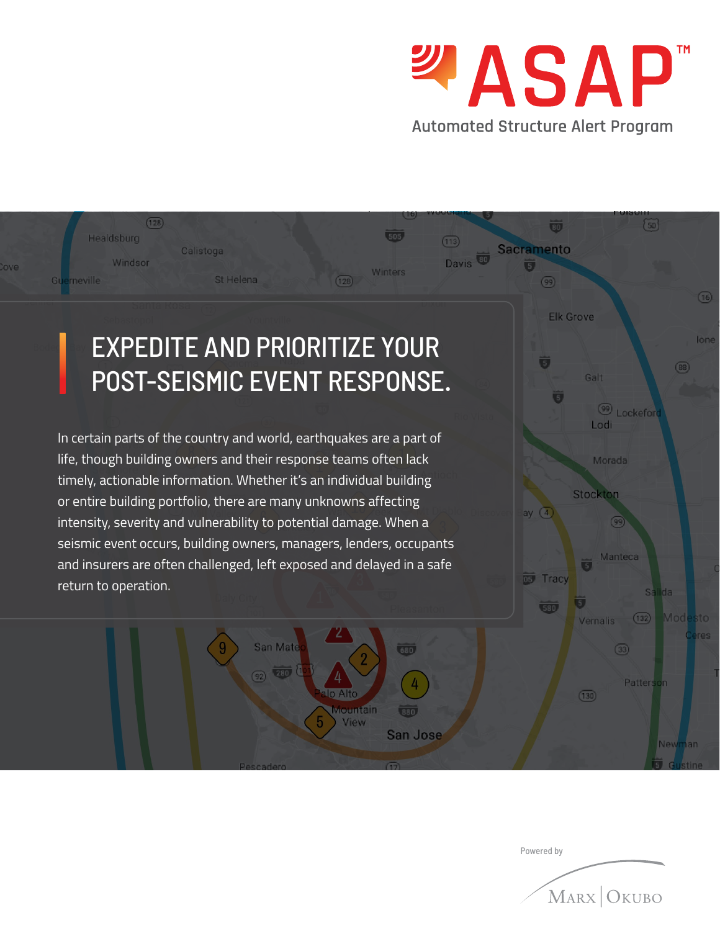

 $(50)$ 

#### $\overline{\mathbf{30}}$  $(505)$ Healdsburg  $(113)$ **Sacramento** Calistoga Davis<sup>to</sup> Windsor love. Winters St Helena  $G1$ erneville  $(128)$  $(99)$  $(16)$ **Elk Grove** EXPEDITE AND PRIORITIZE YOUR lone Ü  $(88)$ POST-SEISMIC EVENT RESPONSE. Galt  $\overline{5}$ <sup>99</sup> Lockeford Lodi In certain parts of the country and world, earthquakes are a part of life, though building owners and their response teams often lack Morada timely, actionable information. Whether it's an individual building Stockton or entire building portfolio, there are many unknowns affecting ay  $(4)$ intensity, severity and vulnerability to potential damage. When a 99 seismic event occurs, building owners, managers, lenders, occupants Manteca and insurers are often challenged, left exposed and delayed in a safe D5 Tracy return to operation. **Salida** 580 Mode  $(132)$ Vernalis San Mate 680  $\circled{33}$  $(280)$ Patterson  $\Delta$ o Alto  $(130)$ lountain  $180.$ View San Jose New

 $(128)$ 

Powered by

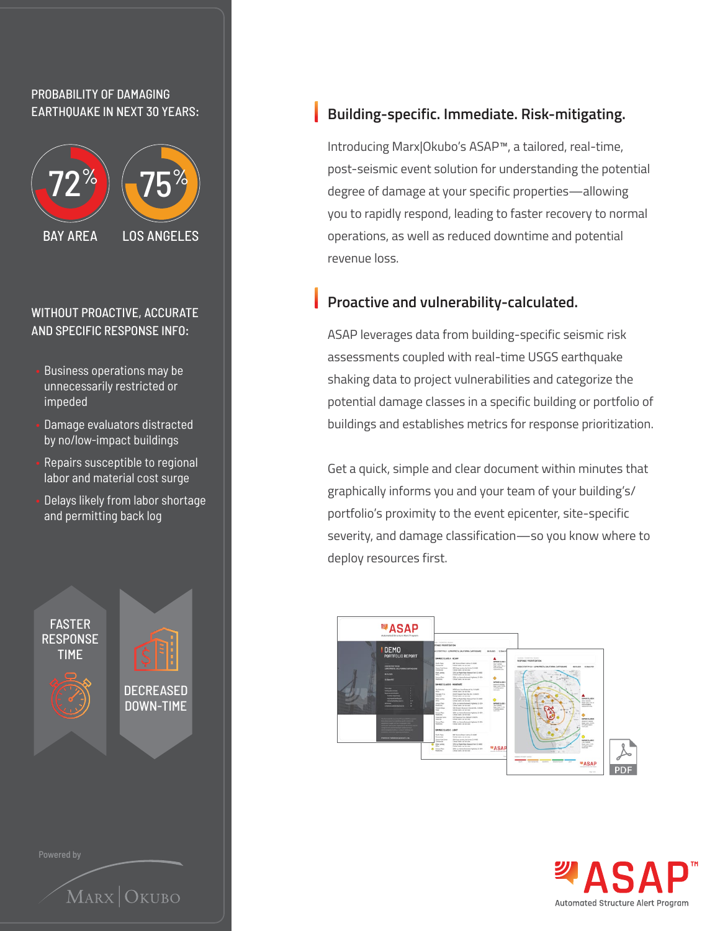#### PROBABILITY OF DAMAGING EARTHQUAKE IN NEXT 30 YEARS:



#### WITHOUT PROACTIVE, ACCURATE AND SPECIFIC RESPONSE INFO:

- Business operations may be unnecessarily restricted or impeded
- Damage evaluators distracted by no/low-impact buildings
- Repairs susceptible to regional labor and material cost surge
- Delays likely from labor shortage and permitting back log



#### **Building-specific. Immediate. Risk-mitigating.**

Introducing Marx|Okubo's ASAP™, a tailored, real-time, post-seismic event solution for understanding the potential degree of damage at your specific properties—allowing you to rapidly respond, leading to faster recovery to normal operations, as well as reduced downtime and potential revenue loss.

#### **Proactive and vulnerability-calculated.**

ASAP leverages data from building-specific seismic risk assessments coupled with real-time USGS earthquake shaking data to project vulnerabilities and categorize the potential damage classes in a specific building or portfolio of buildings and establishes metrics for response prioritization.

Get a quick, simple and clear document within minutes that graphically informs you and your team of your building's/ portfolio's proximity to the event epicenter, site-specific severity, and damage classification—so you know where to deploy resources first.



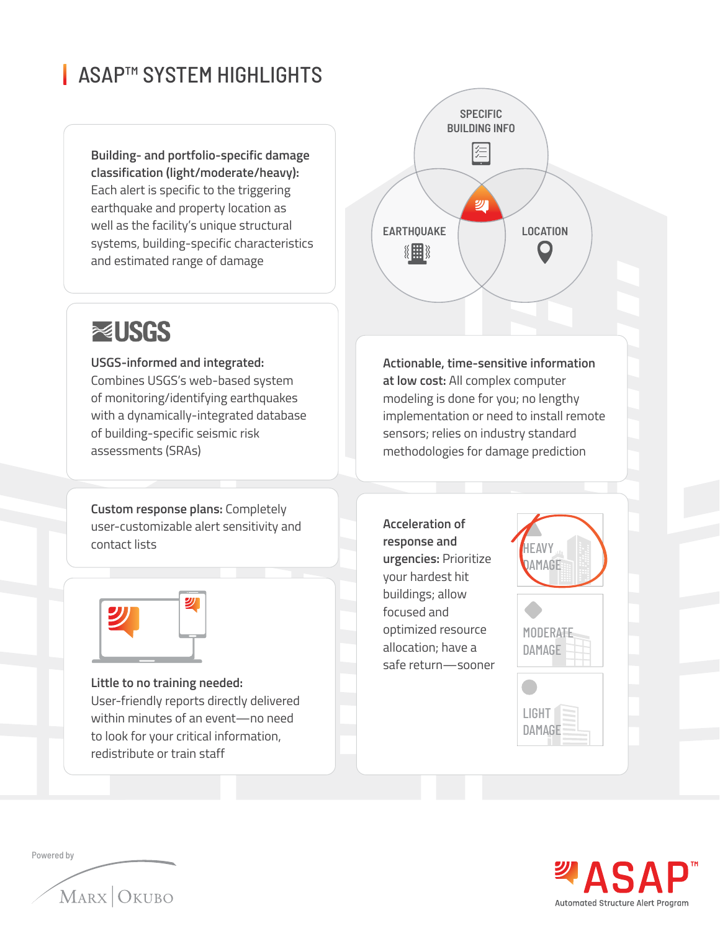## ■ ASAP™ SYSTEM HIGHLIGHTS

**Building- and portfolio-specific damage classification (light/moderate/heavy):**  Each alert is specific to the triggering earthquake and property location as well as the facility's unique structural systems, building-specific characteristics and estimated range of damage



# **RELISGS**

**USGS-informed and integrated:**  Combines USGS's web-based system of monitoring/identifying earthquakes with a dynamically-integrated database of building-specific seismic risk assessments (SRAs)

**Custom response plans:** Completely user-customizable alert sensitivity and contact lists



**Little to no training needed:** User-friendly reports directly delivered within minutes of an event—no need to look for your critical information, redistribute or train staff

**Actionable, time-sensitive information at low cost:** All complex computer modeling is done for you; no lengthy implementation or need to install remote sensors; relies on industry standard methodologies for damage prediction

**Acceleration of response and urgencies:** Prioritize your hardest hit buildings; allow focused and optimized resource allocation; have a safe return—sooner



| MODERA <del>T</del> E |  |
|-----------------------|--|
| DAMAGE                |  |
|                       |  |
|                       |  |

LIGHT<sup>1</sup> **DAMAGE** 



Powered by

MARX OKUBO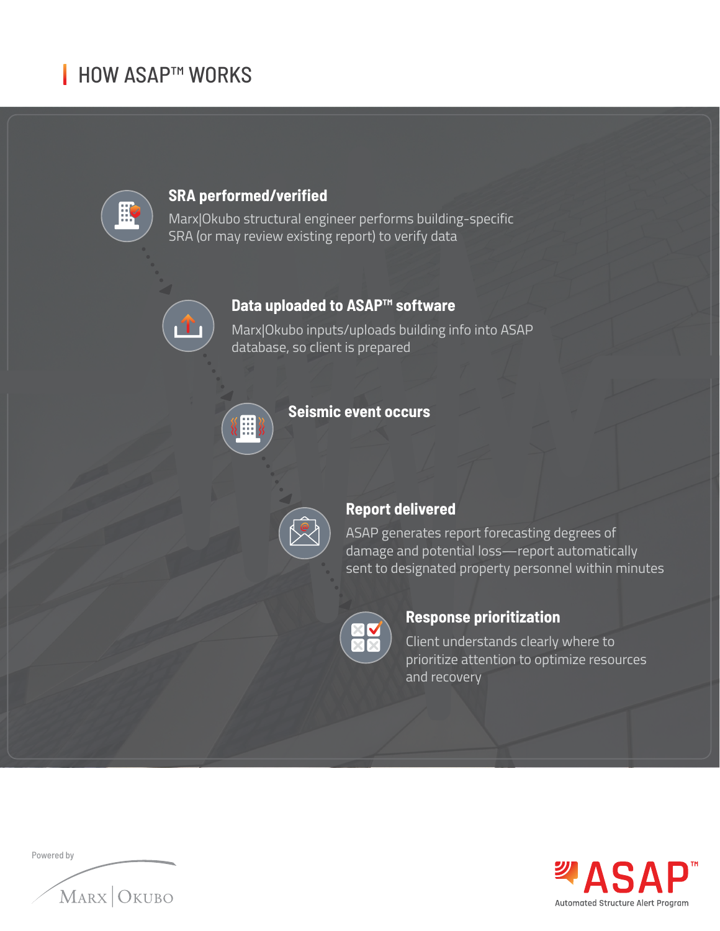# **I HOW ASAP™ WORKS**

 $\mathbf{f}$ 



#### **SRA performed/verified**

Marx|Okubo structural engineer performs building-specific SRA (or may review existing report) to verify data

### **Data uploaded to ASAP™ software**

Marx|Okubo inputs/uploads building info into ASAP database, so client is prepared



## **Seismic event occurs**



#### **Report delivered**

ASAP generates report forecasting degrees of damage and potential loss—report automatically sent to designated property personnel within minutes



#### **Response prioritization**

Client understands clearly where to prioritize attention to optimize resources and recovery

| Powered by |            |
|------------|------------|
|            |            |
|            | MARX OKUBO |
|            |            |